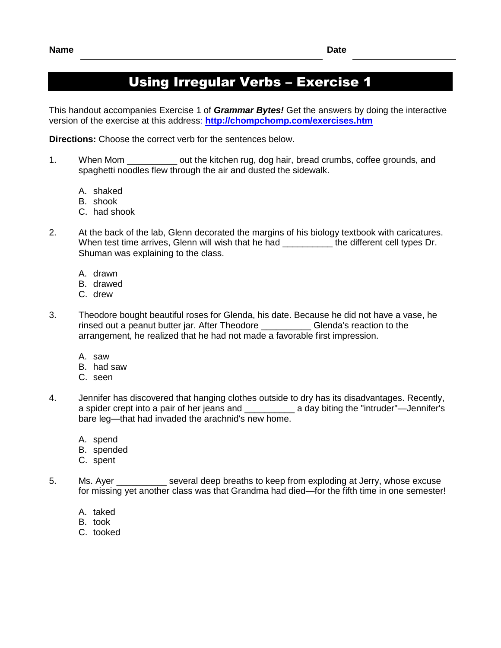## Using Irregular Verbs – Exercise 1

This handout accompanies Exercise 1 of *Grammar Bytes!* Get the answers by doing the interactive version of the exercise at this address: **<http://chompchomp.com/exercises.htm>**

**Directions:** Choose the correct verb for the sentences below.

- 1. When Mom \_\_\_\_\_\_\_\_\_\_ out the kitchen rug, dog hair, bread crumbs, coffee grounds, and spaghetti noodles flew through the air and dusted the sidewalk.
	- A. shaked
	- B. shook
	- C. had shook
- 2. At the back of the lab, Glenn decorated the margins of his biology textbook with caricatures. When test time arrives, Glenn will wish that he had \_\_\_\_\_\_\_\_\_\_\_ the different cell types Dr. Shuman was explaining to the class.
	- A. drawn
	- B. drawed
	- C. drew
- 3. Theodore bought beautiful roses for Glenda, his date. Because he did not have a vase, he rinsed out a peanut butter jar. After Theodore Glenda's reaction to the rinsed out a peanut butter jar. After Theodore arrangement, he realized that he had not made a favorable first impression.
	- A. saw
	- B. had saw
	- C. seen
- 4. Jennifer has discovered that hanging clothes outside to dry has its disadvantages. Recently, a spider crept into a pair of her jeans and \_\_\_\_\_\_\_\_\_\_ a day biting the "intruder"—Jennifer's bare leg—that had invaded the arachnid's new home.
	- A. spend
	- B. spended
	- C. spent
- 5. Ms. Ayer \_\_\_\_\_\_\_\_\_\_ several deep breaths to keep from exploding at Jerry, whose excuse for missing yet another class was that Grandma had died—for the fifth time in one semester!
	- A. taked
	- B. took
	- C. tooked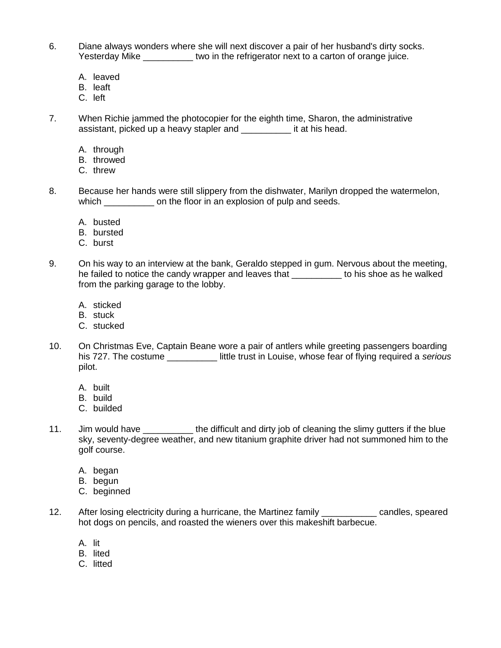- 6. Diane always wonders where she will next discover a pair of her husband's dirty socks. Yesterday Mike \_\_\_\_\_\_\_\_\_\_\_ two in the refrigerator next to a carton of orange juice.
	- A. leaved
	- B. leaft
	- C. left
- 7. When Richie jammed the photocopier for the eighth time, Sharon, the administrative assistant, picked up a heavy stapler and \_\_\_\_\_\_\_\_\_\_ it at his head.
	- A. through
	- B. throwed
	- C. threw
- 8. Because her hands were still slippery from the dishwater, Marilyn dropped the watermelon, which \_\_\_\_\_\_\_\_\_\_\_\_ on the floor in an explosion of pulp and seeds.
	- A. busted
	- B. bursted
	- C. burst
- 9. On his way to an interview at the bank, Geraldo stepped in gum. Nervous about the meeting, he failed to notice the candy wrapper and leaves that **we allocate that heaven** to his shoe as he walked from the parking garage to the lobby.
	- A. sticked
	- B. stuck
	- C. stucked
- 10. On Christmas Eve, Captain Beane wore a pair of antlers while greeting passengers boarding his 727. The costume \_\_\_\_\_\_\_\_\_\_ little trust in Louise, whose fear of flying required a *serious* pilot.
	- A. built
	- B. build
	- C. builded
- 11. Jim would have the difficult and dirty job of cleaning the slimy gutters if the blue sky, seventy-degree weather, and new titanium graphite driver had not summoned him to the golf course.
	- A. began
	- B. begun
	- C. beginned
- 12. After losing electricity during a hurricane, the Martinez family \_\_\_\_\_\_\_\_\_\_\_ candles, speared hot dogs on pencils, and roasted the wieners over this makeshift barbecue.
	- A. lit
	- B. lited
	- C. litted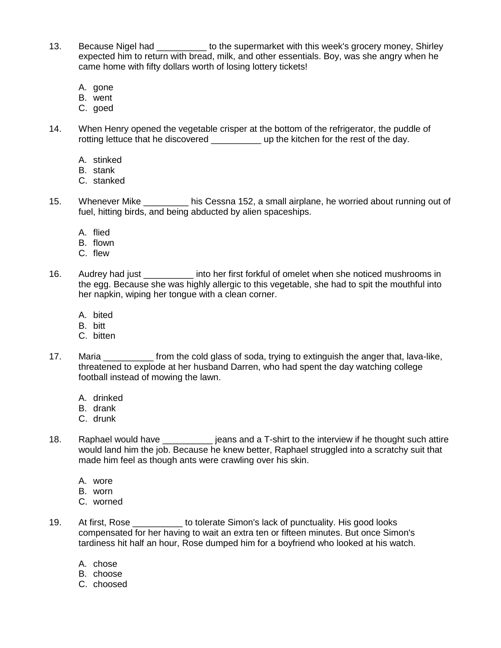- 13. Because Nigel had \_\_\_\_\_\_\_\_\_ to the supermarket with this week's grocery money, Shirley expected him to return with bread, milk, and other essentials. Boy, was she angry when he came home with fifty dollars worth of losing lottery tickets!
	- A. gone
	- B. went
	- C. goed
- 14. When Henry opened the vegetable crisper at the bottom of the refrigerator, the puddle of rotting lettuce that he discovered \_\_\_\_\_\_\_\_\_\_\_\_\_ up the kitchen for the rest of the day.
	- A. stinked
	- B. stank
	- C. stanked
- 15. Whenever Mike \_\_\_\_\_\_\_\_ his Cessna 152, a small airplane, he worried about running out of fuel, hitting birds, and being abducted by alien spaceships.
	- A. flied
	- B. flown
	- C. flew
- 16. Audrey had just into her first forkful of omelet when she noticed mushrooms in the egg. Because she was highly allergic to this vegetable, she had to spit the mouthful into her napkin, wiping her tongue with a clean corner.
	- A. bited
	- B. bitt
	- C. bitten
- 17. Maria **Influenty** Maria triangled from the cold glass of soda, trying to extinguish the anger that, lava-like, threatened to explode at her husband Darren, who had spent the day watching college football instead of mowing the lawn.
	- A. drinked
	- B. drank
	- C. drunk
- 18. Raphael would have \_\_\_\_\_\_\_\_\_\_\_ jeans and a T-shirt to the interview if he thought such attire would land him the job. Because he knew better, Raphael struggled into a scratchy suit that made him feel as though ants were crawling over his skin.
	- A. wore
	- B. worn
	- C. worned
- 19. At first, Rose to tolerate Simon's lack of punctuality. His good looks compensated for her having to wait an extra ten or fifteen minutes. But once Simon's tardiness hit half an hour, Rose dumped him for a boyfriend who looked at his watch.
	- A. chose
	- B. choose
	- C. choosed